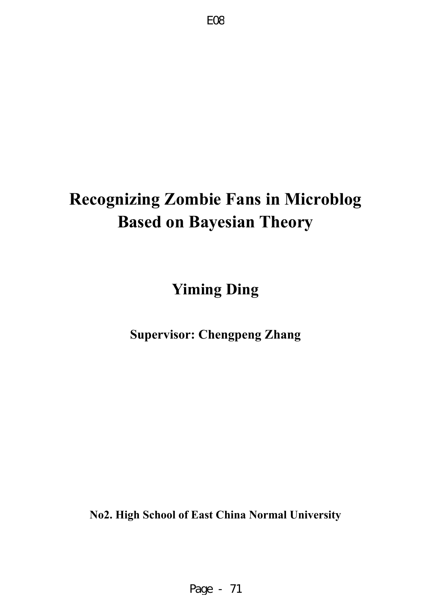# **Recognizing Zombie Fans in Microblog Based on Bayesian Theory**

**Yiming Ding** 

**Supervisor: Chengpeng Zhang** 

**No2. High School of East China Normal University**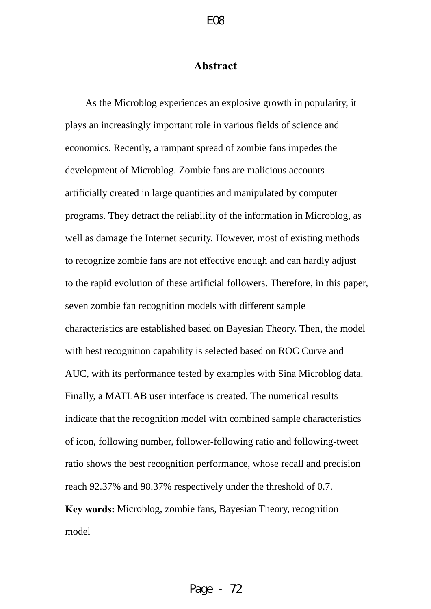# **Abstract**

<span id="page-1-0"></span>As the Microblog experiences an explosive growth in popularity, it plays an increasingly important role in various fields of science and economics. Recently, a rampant spread of zombie fans impedes the development of Microblog. Zombie fans are malicious accounts artificially created in large quantities and manipulated by computer programs. They detract the reliability of the information in Microblog, as well as damage the Internet security. However, most of existing methods to recognize zombie fans are not effective enough and can hardly adjust to the rapid evolution of these artificial followers. Therefore, in this paper, seven zombie fan recognition models with different sample characteristics are established based on Bayesian Theory. Then, the model with best recognition capability is selected based on ROC Curve and AUC, with its performance tested by examples with Sina Microblog data. Finally, a MATLAB user interface is created. The numerical results indicate that the recognition model with combined sample characteristics of icon, following number, follower-following ratio and following-tweet ratio shows the best recognition performance, whose recall and precision reach 92.37% and 98.37% respectively under the threshold of 0.7. **Key words:** Microblog, zombie fans, Bayesian Theory, recognition model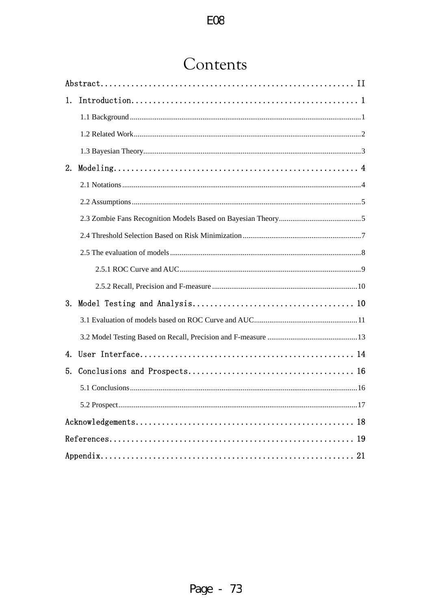# Contents

| 1. |  |
|----|--|
|    |  |
|    |  |
|    |  |
| 2. |  |
|    |  |
|    |  |
|    |  |
|    |  |
|    |  |
|    |  |
|    |  |
| 3. |  |
|    |  |
|    |  |
| 4. |  |
| 5. |  |
|    |  |
|    |  |
|    |  |
|    |  |
|    |  |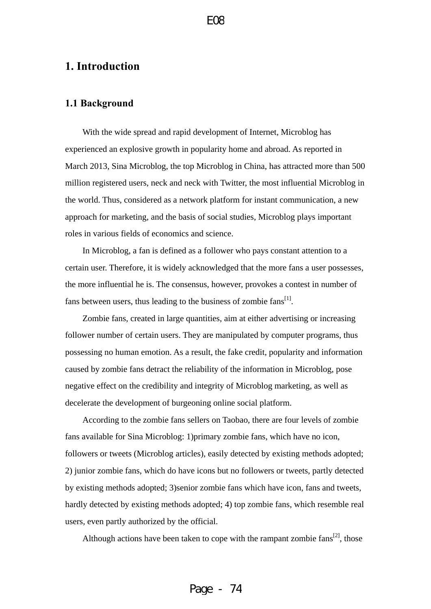# <span id="page-3-0"></span>**1. Introduction**

#### **1.1 Background**

With the wide spread and rapid development of Internet, Microblog has experienced an explosive growth in popularity home and abroad. As reported in March 2013, Sina Microblog, the top Microblog in China, has attracted more than 500 million registered users, neck and neck with Twitter, the most influential Microblog in the world. Thus, considered as a network platform for instant communication, a new approach for marketing, and the basis of social studies, Microblog plays important roles in various fields of economics and science.

In Microblog, a fan is defined as a follower who pays constant attention to a certain user. Therefore, it is widely acknowledged that the more fans a user possesses, the more influential he is. The consensus, however, provokes a contest in number of fans between users, thus leading to the business of zombie  $fans^{[1]}$ .

Zombie fans, created in large quantities, aim at either advertising or increasing follower number of certain users. They are manipulated by computer programs, thus possessing no human emotion. As a result, the fake credit, popularity and information caused by zombie fans detract the reliability of the information in Microblog, pose negative effect on the credibility and integrity of Microblog marketing, as well as decelerate the development of burgeoning online social platform.

According to the zombie fans sellers on Taobao, there are four levels of zombie fans available for Sina Microblog: 1)primary zombie fans, which have no icon, followers or tweets (Microblog articles), easily detected by existing methods adopted; 2) junior zombie fans, which do have icons but no followers or tweets, partly detected by existing methods adopted; 3)senior zombie fans which have icon, fans and tweets, hardly detected by existing methods adopted; 4) top zombie fans, which resemble real users, even partly authorized by the official.

Although actions have been taken to cope with the rampant zombie  $fans^{[2]}$ , those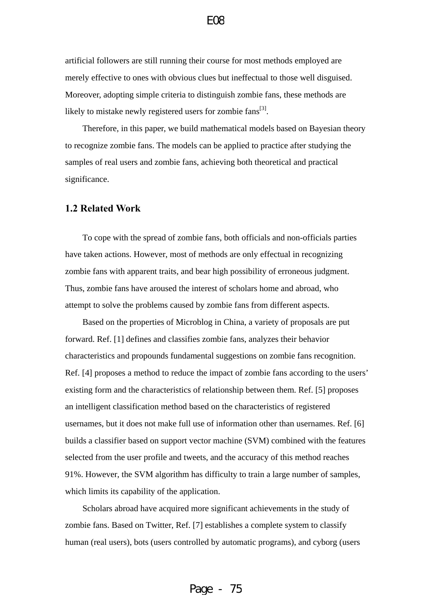<span id="page-4-0"></span>artificial followers are still running their course for most methods employed are merely effective to ones with obvious clues but ineffectual to those well disguised. Moreover, adopting simple criteria to distinguish zombie fans, these methods are likely to mistake newly registered users for zombie fans<sup>[3]</sup>.

Therefore, in this paper, we build mathematical models based on Bayesian theory to recognize zombie fans. The models can be applied to practice after studying the samples of real users and zombie fans, achieving both theoretical and practical significance.

#### **1.2 Related Work**

To cope with the spread of zombie fans, both officials and non-officials parties have taken actions. However, most of methods are only effectual in recognizing zombie fans with apparent traits, and bear high possibility of erroneous judgment. Thus, zombie fans have aroused the interest of scholars home and abroad, who attempt to solve the problems caused by zombie fans from different aspects.

Based on the properties of Microblog in China, a variety of proposals are put forward. Ref. [1] defines and classifies zombie fans, analyzes their behavior characteristics and propounds fundamental suggestions on zombie fans recognition. Ref. [4] proposes a method to reduce the impact of zombie fans according to the users' existing form and the characteristics of relationship between them. Ref. [5] proposes an intelligent classification method based on the characteristics of registered usernames, but it does not make full use of information other than usernames. Ref. [6] builds a classifier based on support vector machine (SVM) combined with the features selected from the user profile and tweets, and the accuracy of this method reaches 91%. However, the SVM algorithm has difficulty to train a large number of samples, which limits its capability of the application.

Scholars abroad have acquired more significant achievements in the study of zombie fans. Based on Twitter, Ref. [7] establishes a complete system to classify human (real users), bots (users controlled by automatic programs), and cyborg (users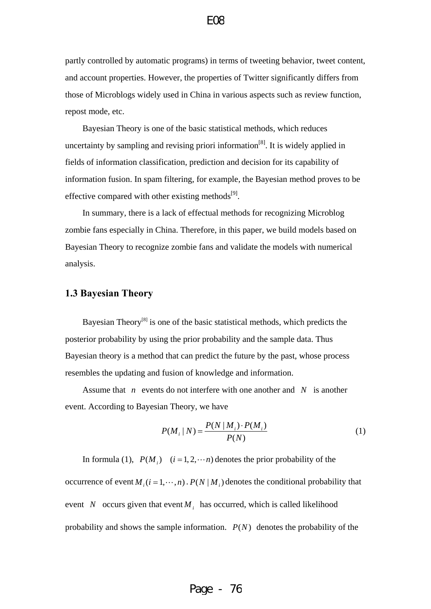<span id="page-5-0"></span>partly controlled by automatic programs) in terms of tweeting behavior, tweet content, and account properties. However, the properties of Twitter significantly differs from those of Microblogs widely used in China in various aspects such as review function, repost mode, etc.

Bayesian Theory is one of the basic statistical methods, which reduces uncertainty by sampling and revising priori information<sup>[8]</sup>. It is widely applied in fields of information classification, prediction and decision for its capability of information fusion. In spam filtering, for example, the Bayesian method proves to be effective compared with other existing methods $^{[9]}$ .

In summary, there is a lack of effectual methods for recognizing Microblog zombie fans especially in China. Therefore, in this paper, we build models based on Bayesian Theory to recognize zombie fans and validate the models with numerical analysis.

#### **1.3 Bayesian Theory**

Bayesian Theory<sup>[8]</sup> is one of the basic statistical methods, which predicts the posterior probability by using the prior probability and the sample data. Thus Bayesian theory is a method that can predict the future by the past, whose process resembles the updating and fusion of knowledge and information.

Assume that  $n$  events do not interfere with one another and  $N$  is another event. According to Bayesian Theory, we have

$$
P(M_i | N) = \frac{P(N | M_i) \cdot P(M_i)}{P(N)} \tag{1}
$$

In formula (1),  $P(M_i)$   $(i = 1, 2, \dots n)$  denotes the prior probability of the occurrence of event  $M_i$  ( $i = 1, \dots, n$ ).  $P(N | M_i)$  denotes the conditional probability that event *N* occurs given that event  $M_i$  has occurred, which is called likelihood probability and shows the sample information.  $P(N)$  denotes the probability of the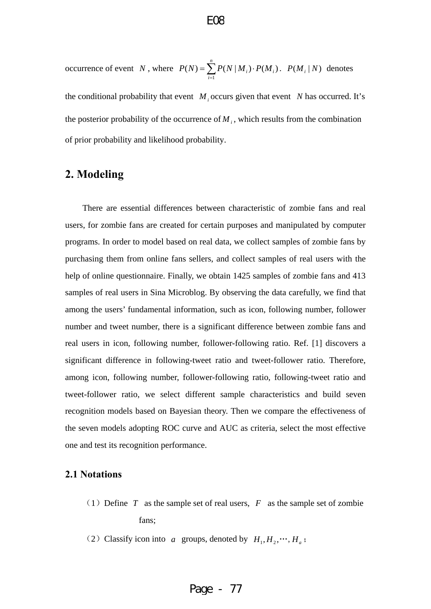<span id="page-6-0"></span>occurrence of event N, where  $P(N) = \sum P(N|M_i) \cdot P(M_i)$ .  $P(M_i|N)$  denotes 1  $(N) = \sum P(N | M_i) \cdot P(M_i)$ *n*  $i^{j}$ <sup>*i*</sup>  $i^{m}$ *i*  $P(N) = \sum P(N|M_i) \cdot P(M)$  $=\sum_{i=1} P(N|M_i) \cdot P(M_i) \cdot P(M_i | N)$ 

the conditional probability that event  $M_i$  occurs given that event N has occurred. It's the posterior probability of the occurrence of  $M_i$ , which results from the combination of prior probability and likelihood probability.

# **2. Modeling**

There are essential differences between characteristic of zombie fans and real users, for zombie fans are created for certain purposes and manipulated by computer programs. In order to model based on real data, we collect samples of zombie fans by purchasing them from online fans sellers, and collect samples of real users with the help of online questionnaire. Finally, we obtain 1425 samples of zombie fans and 413 samples of real users in Sina Microblog. By observing the data carefully, we find that among the users' fundamental information, such as icon, following number, follower number and tweet number, there is a significant difference between zombie fans and real users in icon, following number, follower-following ratio. Ref. [1] discovers a significant difference in following-tweet ratio and tweet-follower ratio. Therefore, among icon, following number, follower-following ratio, following-tweet ratio and tweet-follower ratio, we select different sample characteristics and build seven recognition models based on Bayesian theory. Then we compare the effectiveness of the seven models adopting ROC curve and AUC as criteria, select the most effective one and test its recognition performance.

# **2.1 Notations**

- (1) Define *T* as the sample set of real users,  $F$  as the sample set of zombie fans;
- (2) Classify icon into *a* groups, denoted by  $H_1, H_2, \cdots, H_a$ ;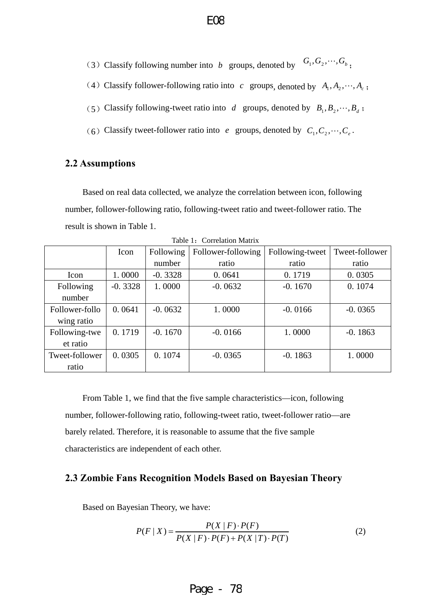<span id="page-7-0"></span>(3) Classify following number into *b* groups, denoted by  $G_1, G_2, \dots, G_b$ ;

- (4) Classify follower-following ratio into *c* groups, denoted by  $A_1, A_2, \dots, A_c$ ;
- (5) Classify following-tweet ratio into *d* groups, denoted by  $B_1, B_2, \dots, B_d$ ;
- (6) Classify tweet-follower ratio into *e* groups, denoted by  $C_1, C_2, \dots, C_e$ .

## **2.2 Assumptions**

Based on real data collected, we analyze the correlation between icon, following number, follower-following ratio, following-tweet ratio and tweet-follower ratio. The result is shown in Table 1.

|                | Icon      | Following | Follower-following | Following-tweet | Tweet-follower |
|----------------|-----------|-----------|--------------------|-----------------|----------------|
|                |           | number    | ratio              | ratio           | ratio          |
| Icon           | 1.0000    | $-0.3328$ | 0.0641             | 0.1719          | 0.0305         |
| Following      | $-0.3328$ | 1.0000    | $-0.0632$          | $-0.1670$       | 0.1074         |
| number         |           |           |                    |                 |                |
| Follower-follo | 0.0641    | $-0.0632$ | 1.0000             | $-0.0166$       | $-0.0365$      |
| wing ratio     |           |           |                    |                 |                |
| Following-twe  | 0.1719    | $-0.1670$ | $-0.0166$          | 1.0000          | $-0.1863$      |
| et ratio       |           |           |                    |                 |                |
| Tweet-follower | 0.0305    | 0.1074    | $-0.0365$          | $-0.1863$       | 1.0000         |
| ratio          |           |           |                    |                 |                |

Table 1: Correlation Matrix

From Table 1, we find that the five sample characteristics—icon, following number, follower-following ratio, following-tweet ratio, tweet-follower ratio—are barely related. Therefore, it is reasonable to assume that the five sample characteristics are independent of each other.

#### **2.3 Zombie Fans Recognition Models Based on Bayesian Theory**

Based on Bayesian Theory, we have:

$$
P(F | X) = \frac{P(X | F) \cdot P(F)}{P(X | F) \cdot P(F) + P(X | T) \cdot P(T)}
$$
(2)

$$
f_{\rm{max}}
$$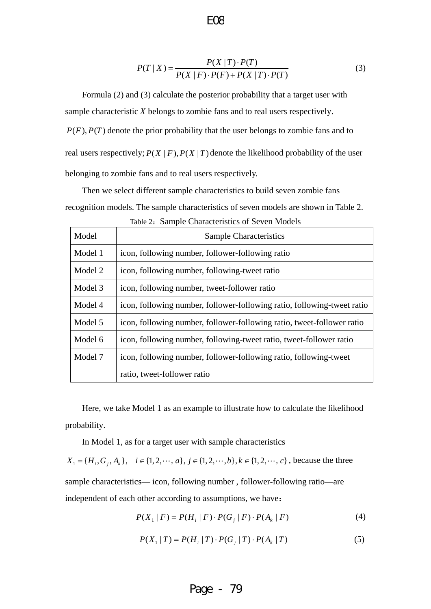$$
P(T | X) = \frac{P(X | T) \cdot P(T)}{P(X | F) \cdot P(F) + P(X | T) \cdot P(T)}
$$
(3)

Formula (2) and (3) calculate the posterior probability that a target user with sample characteristic *X* belongs to zombie fans and to real users respectively.  $P(F)$ ,  $P(T)$  denote the prior probability that the user belongs to zombie fans and to real users respectively;  $P(X | F)$ ,  $P(X | T)$  denote the likelihood probability of the user belonging to zombie fans and to real users respectively.

E08

Then we select different sample characteristics to build seven zombie fans recognition models. The sample characteristics of seven models are shown in Table 2.

| Table 2: Sample Characteristics of Seven Models |                                                                         |  |  |  |  |  |
|-------------------------------------------------|-------------------------------------------------------------------------|--|--|--|--|--|
| Model                                           | <b>Sample Characteristics</b>                                           |  |  |  |  |  |
| Model 1                                         | icon, following number, follower-following ratio                        |  |  |  |  |  |
| Model 2                                         | icon, following number, following-tweet ratio                           |  |  |  |  |  |
| Model 3                                         | icon, following number, tweet-follower ratio                            |  |  |  |  |  |
| Model 4                                         | icon, following number, follower-following ratio, following-tweet ratio |  |  |  |  |  |
| Model 5                                         | icon, following number, follower-following ratio, tweet-follower ratio  |  |  |  |  |  |
| Model 6                                         | icon, following number, following-tweet ratio, tweet-follower ratio     |  |  |  |  |  |
| Model 7                                         | icon, following number, follower-following ratio, following-tweet       |  |  |  |  |  |
|                                                 | ratio, tweet-follower ratio                                             |  |  |  |  |  |

Here, we take Model 1 as an example to illustrate how to calculate the likelihood probability.

In Model 1, as for a target user with sample characteristics

 $X_1 = \{H_i, G_j, A_k\}, i \in \{1, 2, \dots, a\}, j \in \{1, 2, \dots, b\}, k \in \{1, 2, \dots, c\}$ , because the three sample characteristics— icon, following number , follower-following ratio—are independent of each other according to assumptions, we have:

$$
P(X_1 | F) = P(H_i | F) \cdot P(G_j | F) \cdot P(A_k | F)
$$
 (4)

$$
P(X_1 | T) = P(H_i | T) \cdot P(G_j | T) \cdot P(A_k | T)
$$
\n(5)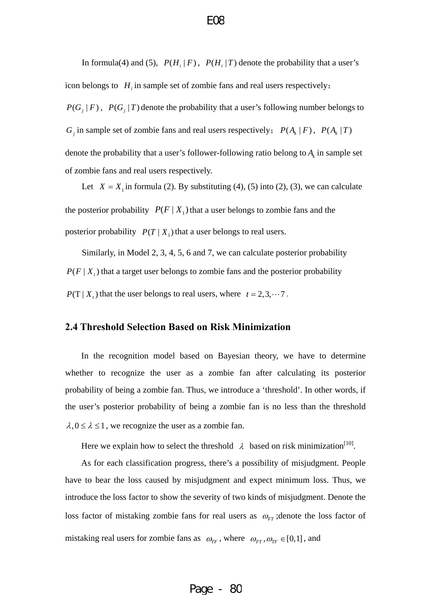<span id="page-9-0"></span>In formula(4) and (5),  $P(H_i | F)$ ,  $P(H_i | T)$  denote the probability that a user's icon belongs to  $H_i$  in sample set of zombie fans and real users respectively;  $P(G_i | F)$ ,  $P(G_i | T)$  denote the probability that a user's following number belongs to  $G_j$  in sample set of zombie fans and real users respectively;  $P(A_k | F)$ ,  $P(A_k | T)$ denote the probability that a user's follower-following ratio belong to  $A_k$  in sample set of zombie fans and real users respectively.

Let  $X = X_1$  in formula (2). By substituting (4), (5) into (2), (3), we can calculate the posterior probability  $P(F | X_1)$  that a user belongs to zombie fans and the posterior probability  $P(T | X_1)$  that a user belongs to real users.

Similarly, in Model 2, 3, 4, 5, 6 and 7, we can calculate posterior probability  $P(F | X_t)$  that a target user belongs to zombie fans and the posterior probability  $P(T | X_t)$  that the user belongs to real users, where  $t = 2, 3, \dots, 7$ .

# **2.4 Threshold Selection Based on Risk Minimization**

In the recognition model based on Bayesian theory, we have to determine whether to recognize the user as a zombie fan after calculating its posterior probability of being a zombie fan. Thus, we introduce a 'threshold'. In other words, if the user's posterior probability of being a zombie fan is no less than the threshold  $\lambda$ ,  $0 \le \lambda \le 1$ , we recognize the user as a zombie fan.

Here we explain how to select the threshold  $\lambda$  based on risk minimization<sup>[10]</sup>.

As for each classification progress, there's a possibility of misjudgment. People have to bear the loss caused by misjudgment and expect minimum loss. Thus, we introduce the loss factor to show the severity of two kinds of misjudgment. Denote the loss factor of mistaking zombie fans for real users as  $\omega_{FT}$ ; denote the loss factor of mistaking real users for zombie fans as  $\omega_{TF}$ , where  $\omega_{FT}$ ,  $\omega_{TF} \in [0,1]$ , and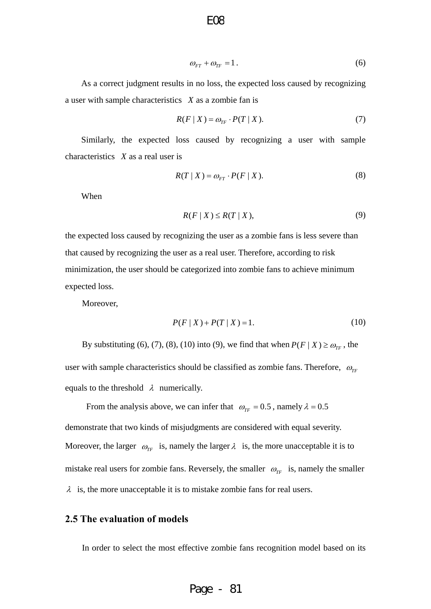$$
\omega_{FT} + \omega_{TF} = 1. \tag{6}
$$

<span id="page-10-0"></span>As a correct judgment results in no loss, the expected loss caused by recognizing a user with sample characteristics *X* as a zombie fan is

$$
R(F \mid X) = \omega_{TF} \cdot P(T \mid X). \tag{7}
$$

Similarly, the expected loss caused by recognizing a user with sample characteristics *X* as a real user is

$$
R(T \mid X) = \omega_{FT} \cdot P(F \mid X). \tag{8}
$$

When

$$
R(F \mid X) \le R(T \mid X),\tag{9}
$$

the expected loss caused by recognizing the user as a zombie fans is less severe than that caused by recognizing the user as a real user. Therefore, according to risk minimization, the user should be categorized into zombie fans to achieve minimum expected loss.

Moreover,

$$
P(F | X) + P(T | X) = 1.
$$
 (10)

By substituting (6), (7), (8), (10) into (9), we find that when  $P(F | X) \ge \omega_{TF}$ , the user with sample characteristics should be classified as zombie fans. Therefore,  $\omega_{TF}$ equals to the threshold  $\lambda$  numerically.

From the analysis above, we can infer that  $\omega_{TF} = 0.5$ , namely  $\lambda = 0.5$ demonstrate that two kinds of misjudgments are considered with equal severity. Moreover, the larger  $\omega_{TF}$  is, namely the larger  $\lambda$  is, the more unacceptable it is to mistake real users for zombie fans. Reversely, the smaller  $\omega_{TF}$  is, namely the smaller  $\lambda$  is, the more unacceptable it is to mistake zombie fans for real users.

## **2.5 The evaluation of models**

In order to select the most effective zombie fans recognition model based on its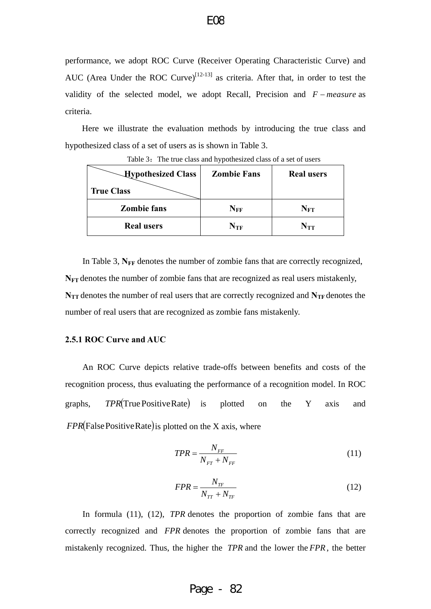<span id="page-11-0"></span>performance, we adopt ROC Curve (Receiver Operating Characteristic Curve) and AUC (Area Under the ROC Curve)<sup>[12-13]</sup> as criteria. After that, in order to test the validity of the selected model, we adopt Recall, Precision and  $F$  – measure as criteria.

Here we illustrate the evaluation methods by introducing the true class and hypothesized class of a set of users as is shown in Table 3.

| <b>Hypothesized Class</b> | <b>Zombie Fans</b> | <b>Real users</b> |
|---------------------------|--------------------|-------------------|
| <b>True Class</b>         |                    |                   |
| <b>Zombie fans</b>        | $\rm N_{FF}$       | $N_{\rm FT}$      |
| <b>Real users</b>         | $\rm N_{TF}$       | $N_{TT}$          |

Table 3: The true class and hypothesized class of a set of users

In Table 3,  $N_{FF}$  denotes the number of zombie fans that are correctly recognized, N<sub>FT</sub> denotes the number of zombie fans that are recognized as real users mistakenly, N<sub>TT</sub> denotes the number of real users that are correctly recognized and N<sub>TF</sub> denotes the number of real users that are recognized as zombie fans mistakenly.

#### **2.5.1 ROC Curve and AUC**

An ROC Curve depicts relative trade-offs between benefits and costs of the recognition process, thus evaluating the performance of a recognition model. In ROC graphs, *TPR*(True Positive Rate) is plotted on the Y axis and *FPR*(False Positive Rate) is plotted on the X axis, where

$$
TPR = \frac{N_{FF}}{N_{FT} + N_{FF}}\tag{11}
$$

$$
FPR = \frac{N_{TF}}{N_{TT} + N_{TF}}\tag{12}
$$

In formula (11), (12), *TPR* denotes the proportion of zombie fans that are correctly recognized and *FPR* denotes the proportion of zombie fans that are mistakenly recognized. Thus, the higher the *TPR* and the lower the *FPR*, the better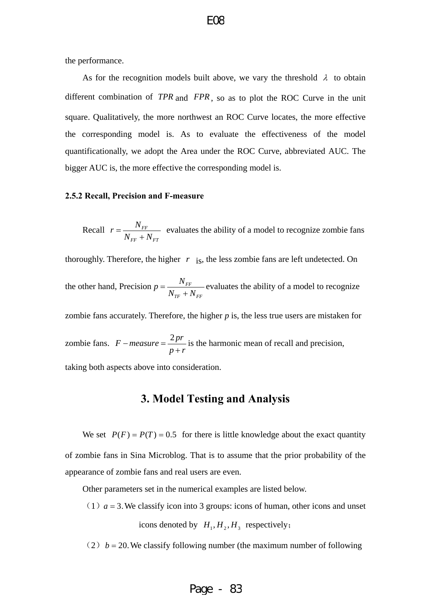<span id="page-12-0"></span>the performance.

As for the recognition models built above, we vary the threshold  $\lambda$  to obtain different combination of *TPR* and *FPR*, so as to plot the ROC Curve in the unit square. Qualitatively, the more northwest an ROC Curve locates, the more effective the corresponding model is. As to evaluate the effectiveness of the model quantificationally, we adopt the Area under the ROC Curve, abbreviated AUC. The bigger AUC is, the more effective the corresponding model is.

#### **2.5.2 Recall, Precision and F-measure**

Recall  $r = \frac{N_{FF}}{N_{FF}}$  $FF$ <sup> $\perp$ </sup>*FT*  $r = \frac{N_{FF}}{N_{FF} + N_{FT}}$  evaluates the ability of a model to recognize zombie fans

thoroughly. Therefore, the higher  $r$  is, the less zombie fans are left undetected. On

the other hand, Precision  $p = \frac{N_{FF}}{N_{FF}}$  $N_{\text{TF}} + N_{\text{FF}}$  $p = \frac{N_{FF}}{N_{FF}}$  evaluates the ability of a model to recognize

zombie fans accurately. Therefore, the higher  $p$  is, the less true users are mistaken for

zombie fans.  $F-measure = \frac{2pr}{p+r}$  is the harmonic mean of recall and precision,

taking both aspects above into consideration.

# **3. Model Testing and Analysis**

We set  $P(F) = P(T) = 0.5$  for there is little knowledge about the exact quantity of zombie fans in Sina Microblog. That is to assume that the prior probability of the appearance of zombie fans and real users are even.

Other parameters set in the numerical examples are listed below.

(1)  $a = 3$ . We classify icon into 3 groups: icons of human, other icons and unset icons denoted by  $H_1, H_2, H_3$  respectively;

(2)  $b = 20$ . We classify following number (the maximum number of following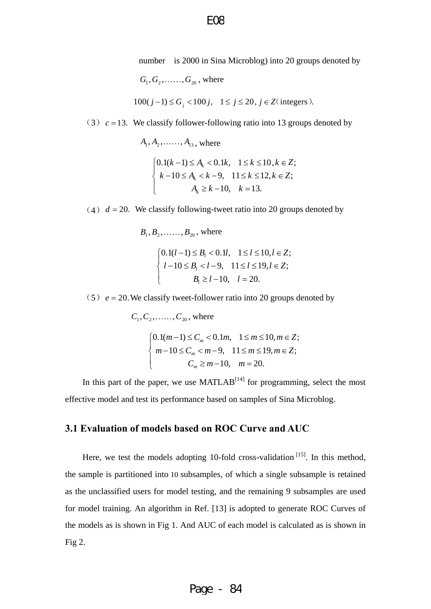number is 2000 in Sina Microblog) into 20 groups denoted by

 $G_1, G_2, \ldots, G_{20}$ , where

$$
100(j-1) \le G_j < 100j, \quad 1 \le j \le 20, \ j \in \mathbb{Z} \text{ (integers)}.
$$

<span id="page-13-0"></span>(3)  $c = 13$ . We classify follower-following ratio into 13 groups denoted by

 $A_1, A_2, \ldots, A_{13}$ , where

$$
\begin{cases} 0.1(k-1) \le A_k < 0.1k, \quad 1 \le k \le 10, k \in \mathbb{Z}; \\ k - 10 \le A_k < k - 9, \quad 11 \le k \le 12, k \in \mathbb{Z}; \\ A_k \ge k - 10, \quad k = 13. \end{cases}
$$

(4)  $d = 20$ . We classify following-tweet ratio into 20 groups denoted by

 $B_1, B_2, \ldots, B_{20}$ , where

$$
\begin{cases} 0.1(l-1) \le B_l < 0.1l, & 1 \le l \le 10, l \in \mathbb{Z}; \\ l-10 \le B_l < l-9, & 11 \le l \le 19, l \in \mathbb{Z}; \\ B_l \ge l-10, & l = 20. \end{cases}
$$

 $(5)$   $e = 20$ . We classify tweet-follower ratio into 20 groups denoted by

 $C_1, C_2, \ldots, C_{20}$ , where  $0.1(m-1)$  $10 \leq C_m$  $m-1 \leq C$  $\begin{cases} 0.1(m-1) \leq \\ m-10 \leq C \end{cases}$  $\{m-10\leq$  $\overline{\mathcal{L}}$  $0.1m, \quad 1 \le m \le 10, m \in \mathbb{Z};$ 9,  $11 \le m \le 19, m \in \mathbb{Z}$ ;  $m_m < 0.1m, \quad 1 \le m \le 10, m$  $m-9$ ,  $11 \le m \le 19, m \in \mathbb{Z}$  $< 0.1m, \quad 1 \le m \le 10, m \in$  $\langle m-9, 11 \le m \le 19, m \in$ 

*m*

In this part of the paper, we use  $MATLAB^{[14]}$  for programming, select the most effective model and test its performance based on samples of Sina Microblog.

 $C_m \geq m-10$ , *m* 

 $\geq m-10$ ,  $m=$ 

10,  $m = 20$ .

*Z*

# **3.1 Evaluation of models based on ROC Curve and AUC**

Here, we test the models adopting 10-fold cross-validation  $[15]$ . In this method, the sample is partitioned into 10 subsamples, of which a single subsample is retained as the unclassified users for model testing, and the remaining 9 subsamples are used for model training. An algorithm in Ref. [13] is adopted to generate ROC Curves of the models as is shown in Fig 1. And AUC of each model is calculated as is shown in Fig 2.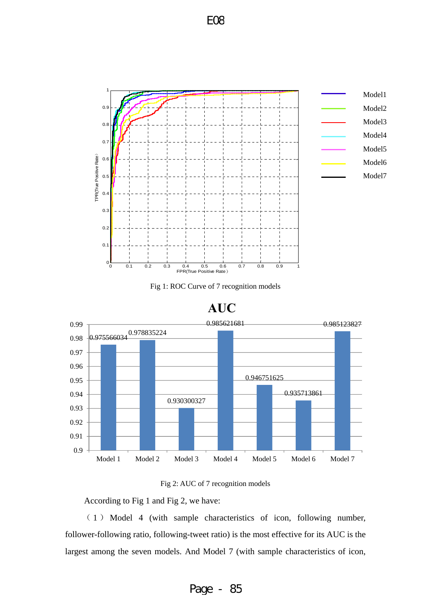

Fig 1: ROC Curve of 7 recognition models







According to Fig 1 and Fig 2, we have:

( 1 ) Model 4 (with sample characteristics of icon, following number, follower-following ratio, following-tweet ratio) is the most effective for its AUC is the largest among the seven models. And Model 7 (with sample characteristics of icon,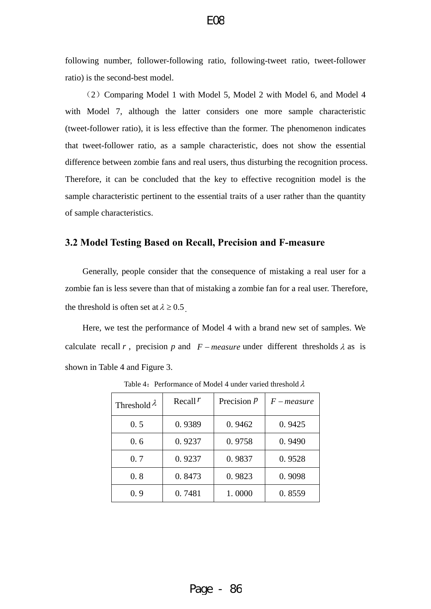<span id="page-15-0"></span>following number, follower-following ratio, following-tweet ratio, tweet-follower ratio) is the second-best model.

(2)Comparing Model 1 with Model 5, Model 2 with Model 6, and Model 4 with Model 7, although the latter considers one more sample characteristic (tweet-follower ratio), it is less effective than the former. The phenomenon indicates that tweet-follower ratio, as a sample characteristic, does not show the essential difference between zombie fans and real users, thus disturbing the recognition process. Therefore, it can be concluded that the key to effective recognition model is the sample characteristic pertinent to the essential traits of a user rather than the quantity of sample characteristics.

# **3.2 Model Testing Based on Recall, Precision and F-measure**

Generally, people consider that the consequence of mistaking a real user for a zombie fan is less severe than that of mistaking a zombie fan for a real user. Therefore, the threshold is often set at  $\lambda \geq 0.5$ .

Here, we test the performance of Model 4 with a brand new set of samples. We calculate recall *r*, precision *p* and *F – measure* under different thresholds  $\lambda$  as is shown in Table 4 and Figure 3.

| Threshold $\lambda$ | Recall $r$ | Precision $P$ | $F-measure$ |
|---------------------|------------|---------------|-------------|
| 0.5                 | 0.9389     | 0.9462        | 0.9425      |
| 0.6                 | 0.9237     | 0.9758        | 0.9490      |
| 0.7                 | 0.9237     | 0.9837        | 0.9528      |
| 0.8                 | 0.8473     | 0.9823        | 0.9098      |
| 0.9                 | 0.7481     | 1.0000        | 0.8559      |

Table 4: Performance of Model 4 under varied threshold  $\lambda$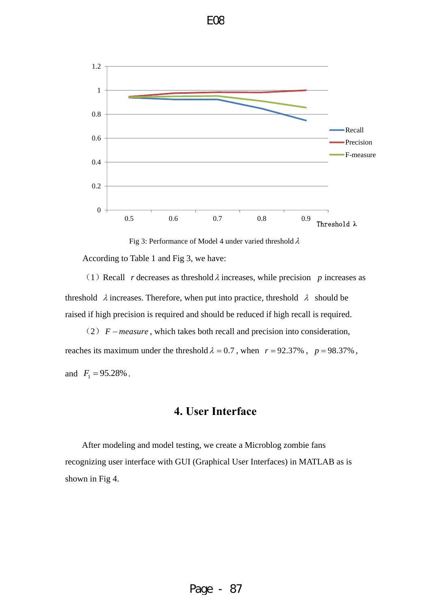<span id="page-16-0"></span>



(1) Recall *r* decreases as threshold  $\lambda$  increases, while precision *p* increases as threshold  $\lambda$  increases. Therefore, when put into practice, threshold  $\lambda$  should be raised if high precision is required and should be reduced if high recall is required.

(2)  $F - measure$ , which takes both recall and precision into consideration, reaches its maximum under the threshold  $\lambda = 0.7$ , when  $r = 92.37\%$ ,  $p = 98.37\%$ , and  $F_1 = 95.28\%$ .

# **4. User Interface**

After modeling and model testing, we create a Microblog zombie fans recognizing user interface with GUI (Graphical User Interfaces) in MATLAB as is shown in Fig 4.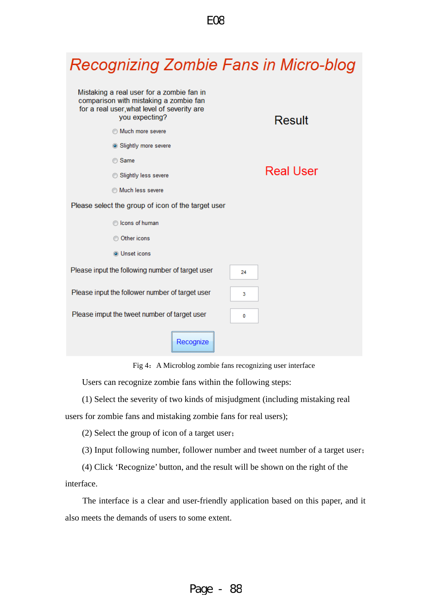

Fig 4:A Microblog zombie fans recognizing user interface

Users can recognize zombie fans within the following steps:

(1) Select the severity of two kinds of misjudgment (including mistaking real

users for zombie fans and mistaking zombie fans for real users);

(2) Select the group of icon of a target user;

(3) Input following number, follower number and tweet number of a target user;

(4) Click 'Recognize' button, and the result will be shown on the right of the

interface.

The interface is a clear and user-friendly application based on this paper, and it also meets the demands of users to some extent.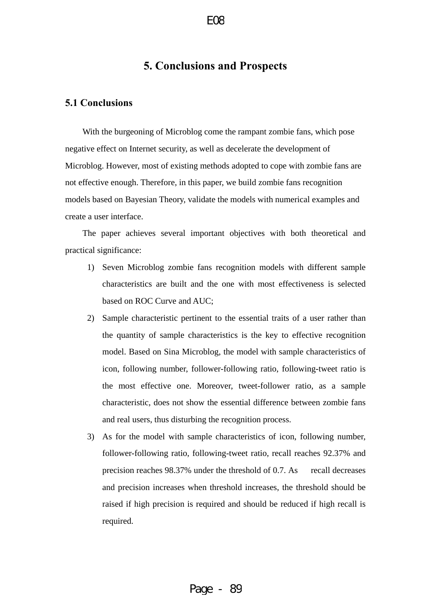# **5. Conclusions and Prospects**

# <span id="page-18-0"></span>**5.1 Conclusions**

With the burgeoning of Microblog come the rampant zombie fans, which pose negative effect on Internet security, as well as decelerate the development of Microblog. However, most of existing methods adopted to cope with zombie fans are not effective enough. Therefore, in this paper, we build zombie fans recognition models based on Bayesian Theory, validate the models with numerical examples and create a user interface.

The paper achieves several important objectives with both theoretical and practical significance:

- 1) Seven Microblog zombie fans recognition models with different sample characteristics are built and the one with most effectiveness is selected based on ROC Curve and AUC;
- 2) Sample characteristic pertinent to the essential traits of a user rather than the quantity of sample characteristics is the key to effective recognition model. Based on Sina Microblog, the model with sample characteristics of icon, following number, follower-following ratio, following-tweet ratio is the most effective one. Moreover, tweet-follower ratio, as a sample characteristic, does not show the essential difference between zombie fans and real users, thus disturbing the recognition process.
- 3) As for the model with sample characteristics of icon, following number, follower-following ratio, following-tweet ratio, recall reaches 92.37% and precision reaches 98.37% under the threshold of 0.7. As recall decreases and precision increases when threshold increases, the threshold should be raised if high precision is required and should be reduced if high recall is required.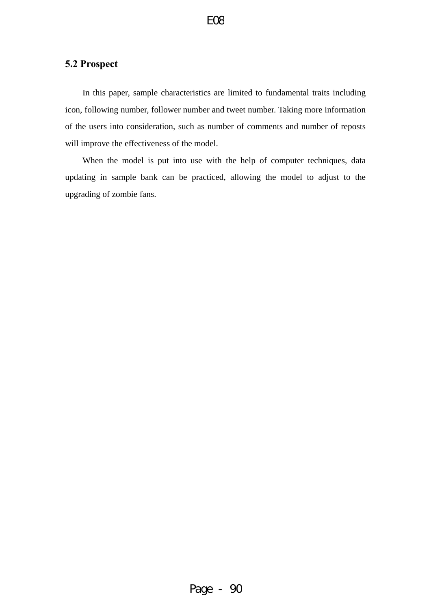# <span id="page-19-0"></span>**5.2 Prospect**

In this paper, sample characteristics are limited to fundamental traits including icon, following number, follower number and tweet number. Taking more information of the users into consideration, such as number of comments and number of reposts will improve the effectiveness of the model.

When the model is put into use with the help of computer techniques, data updating in sample bank can be practiced, allowing the model to adjust to the upgrading of zombie fans.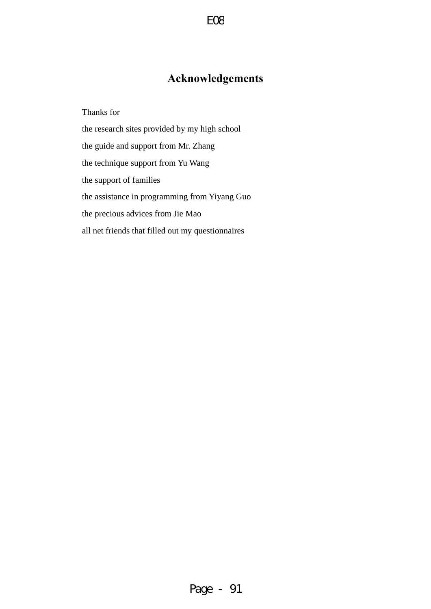# **Acknowledgements**

<span id="page-20-0"></span>Thanks for

the research sites provided by my high school the guide and support from Mr. Zhang the technique support from Yu Wang the support of families the assistance in programming from Yiyang Guo the precious advices from Jie Mao all net friends that filled out my questionnaires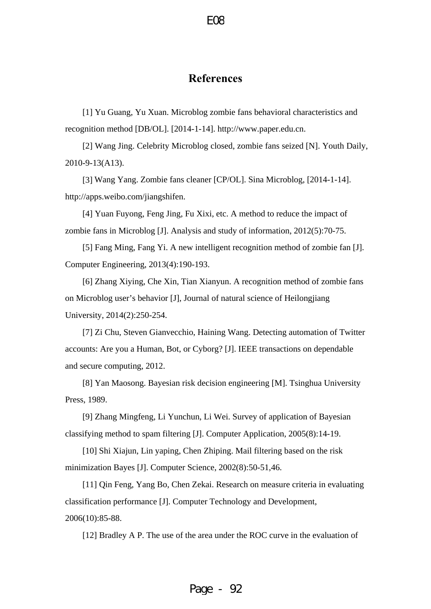# **References**

<span id="page-21-0"></span>[1] Yu Guang, Yu Xuan. Microblog zombie fans behavioral characteristics and recognition method [DB/OL]. [2014-1-14]. http://www.paper.edu.cn.

[2] Wang Jing. Celebrity Microblog closed, zombie fans seized [N]. Youth Daily, 2010-9-13(A13).

[3] Wang Yang. Zombie fans cleaner [CP/OL]. Sina Microblog, [2014-1-14]. http://apps.weibo.com/jiangshifen.

[4] Yuan Fuyong, Feng Jing, Fu Xixi, etc. A method to reduce the impact of zombie fans in Microblog [J]. Analysis and study of information, 2012(5):70-75.

[5] Fang Ming, Fang Yi. A new intelligent recognition method of zombie fan [J]. Computer Engineering, 2013(4):190-193.

[6] Zhang Xiying, Che Xin, Tian Xianyun. A recognition method of zombie fans on Microblog user's behavior [J], Journal of natural science of Heilongjiang University, 2014(2):250-254.

[7] Zi Chu, Steven Gianvecchio, Haining Wang. Detecting automation of Twitter accounts: Are you a Human, Bot, or Cyborg? [J]. IEEE transactions on dependable and secure computing, 2012.

[8] Yan Maosong. Bayesian risk decision engineering [M]. Tsinghua University Press, 1989.

[9] Zhang Mingfeng, Li Yunchun, Li Wei. Survey of application of Bayesian classifying method to spam filtering [J]. Computer Application, 2005(8):14-19.

[10] Shi Xiajun, Lin yaping, Chen Zhiping. Mail filtering based on the risk minimization Bayes [J]. Computer Science, 2002(8):50-51,46.

[11] Qin Feng, Yang Bo, Chen Zekai. Research on measure criteria in evaluating classification performance [J]. Computer Technology and Development, 2006(10):85-88.

[12] Bradley A P. The use of the area under the ROC curve in the evaluation of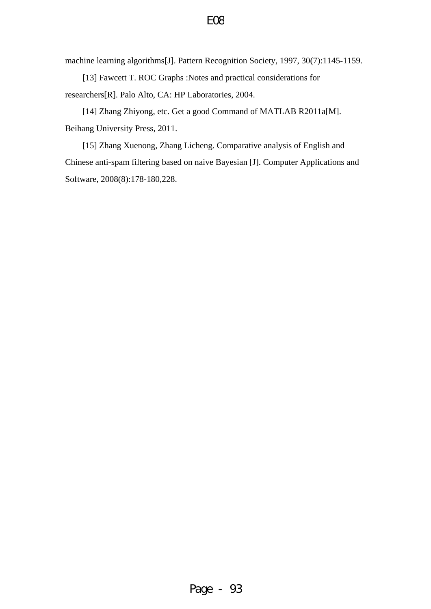machine learning algorithms[J]. Pattern Recognition Society, 1997, 30(7):1145-1159.

[13] Fawcett T. ROC Graphs :Notes and practical considerations for researchers[R]. Palo Alto, CA: HP Laboratories, 2004.

[14] Zhang Zhiyong, etc. Get a good Command of MATLAB R2011a[M]. Beihang University Press, 2011.

[15] Zhang Xuenong, Zhang Licheng. Comparative analysis of English and Chinese anti-spam filtering based on naive Bayesian [J]. Computer Applications and Software, 2008(8):178-180,228.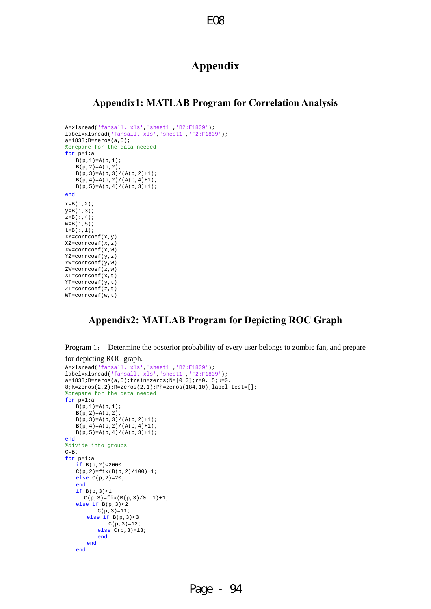# **Appendix**

#### <span id="page-23-0"></span>**Appendix1: MATLAB Program for Correlation Analysis**

```
A=xlsread('fansall. xls','sheet1','B2:E1839'); 
label=xlsread('fansall. xls','sheet1','F2:F1839'); 
a=1838; B=zeros(a,5);%prepare for the data needed
for p=1:a 
   B(p,1)=A(p,1);B(p, 2) = A(p, 2);B(p,3)=A(p,3)/(A(p,2)+1);B(p,4)=A(p,2)/ (A(p,4)+1);B(p, 5) = A(p, 4) / (A(p, 3) + 1);end
x=D ( : , 2 ) \emph{i}y = B(:,3);
z = B( : , 4);
w = B( : 5);
t = B(:, 1);XY=corrcoef(x,y) 
XZ=corrcoef(x,z) 
XW=corrcoef(x,w) 
YZ=corrcoef(y,z) 
YW=corrcoef(y,w) 
ZW=corrcoef(z,w) 
XT=corrcoef(x,t) 
YT=corrcoef(y,t) 
ZT=corrcoef(z,t) 
WT=corrcoef(w,t)
```
# **Appendix2: MATLAB Program for Depicting ROC Graph**

Program 1: Determine the posterior probability of every user belongs to zombie fan, and prepare for depicting ROC graph.

```
A=xlsread('fansall. xls','sheet1','B2:E1839'); 
label=xlsread('fansall. xls','sheet1','F2:F1839'); 
a=1838; B=zeros(a,5); train=zeros; N=[0 0]; r=0. 5; u=0.8;K=zeros(2,2);R=zeros(2,1);Ph=zeros(184,10);label_test=[]; 
%prepare for the data needed
for p=1:a 
   B(p,1)=A(p,1);B(p, 2) = A(p, 2);B(p,3)=A(p,3)/(A(p,2)+1);B(p, 4) = A(p, 2) / (A(p, 4) + 1);B(p, 5) = A(p, 4)/(A(p, 3) + 1);end
%divide into groups
C = B;for p=1:a 
    if B(p,2)<2000 
   C(p, 2) = f i x (B(p, 2) / 100) + 1; else C(p,2)=20; 
    end
    if B(p,3)<1 
     C(p,3)=fix(B(p,3)/0. 1)+1; else if B(p,3)<2 
          C(p, 3) = 11; else if B(p,3)<3 
              C(p, 3) = 12;else C(p, 3) = 13; end
        end
    end
```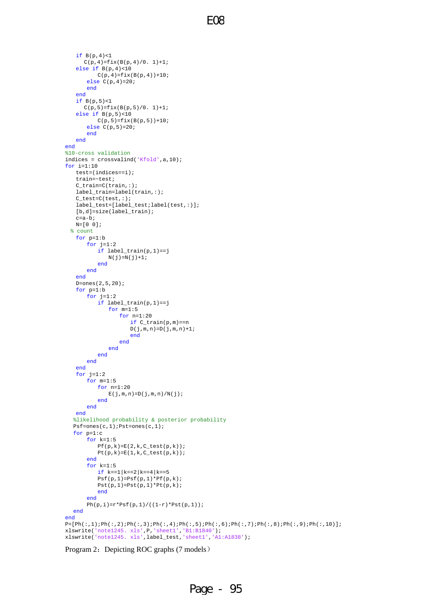```
 if B(p,4)<1 
       C(p, 4) = f i x (B(p, 4) / 0. 1) + 1; else if B(p,4)<10 
            C(p, 4) = fix(B(p, 4)) + 10; else C(p,4)=20; 
         end
     end
     if B(p,5)<1 
       C(p, 5) = fix(B(p, 5)/0. 1) + 1; else if B(p,5)<10 
            C(p, 5) = fix(B(p, 5)) + 10; else C(p,5)=20; 
         end
     end
end
%10-cross validation
indices = crossvalind('Kfold',a,10); 
for i=1:10 
     test=(indices==i);
     train=~test; 
     C_train=C(train,:); 
     label_train=label(train,:); 
     C_test=C(test,:); 
     label_test=[label_test;label(test,:)]; 
     [b,d]=size(label_train); 
    c=a-b; N=[0 0]; 
   % count
     for p=1:b 
        for j=1:2 if label_train(p,1)==j 
                \, N( \, j ) =N( \, j ) +1 \, ;
             end
         end
     end
     D=ones(2,5,20); 
     for p=1:b 
        for j=1:2 if label_train(p,1)==j 
                  for m=1:5 
                       for n=1:20 
                           if C_train(p,m)==n 
                          D(j,m,n)=D(j,m,n)+1; end
                      end
                  end
              end
         end
     end
    for j=1:2 for m=1:5 
             for n=1:20 
                 E(j,m,n)=D(j,m,n)/N(j); end
         end
     end
    %likelihood probability & posterior probability
    Psf=ones(c,1);Pst=ones(c,1); 
    for p=1:c 
         for k=1:5 
            Pf(p,k)=E(2,k,C_test(p,k));Pt(p,k)=E(1,k,C_test(p,k)); end
        for k=1:5 if k==1|k==2|k==4|k==5 
             \mathtt{Psf(p,1)=} \mathtt{Psf(p,1)*} \mathtt{Pf(p,k)};
            Pst(p,1)=Pst(p,1)*Pt(p,k); end
         end
        Ph(p,i)=r*Psf(p,1)/((1-r)*Pst(p,1)); end
end
\texttt{P}=\left[\,\texttt{Ph}(\,\colon,1\,);\,\texttt{Ph}(\,\colon,2\,);\,\texttt{Ph}(\,\colon,3\,);\,\texttt{Ph}(\,\colon,4\,);\,\texttt{Ph}(\,\colon,5\,);\,\texttt{Ph}(\,\colon,6\,);\,\texttt{Ph}(\,\colon,7\,);\,\texttt{Ph}(\,\colon,8\,);\,\texttt{Ph}(\,\colon,9\,);\,\texttt{Ph}(\,\colon,10\,)\,\right];xlswrite('note1245. xls',P,'sheet1','B1:B1840'); 
xlswrite('note1245. xls',label_test,'sheet1','A1:A1838');
```
Program 2: Depicting ROC graphs (7 models)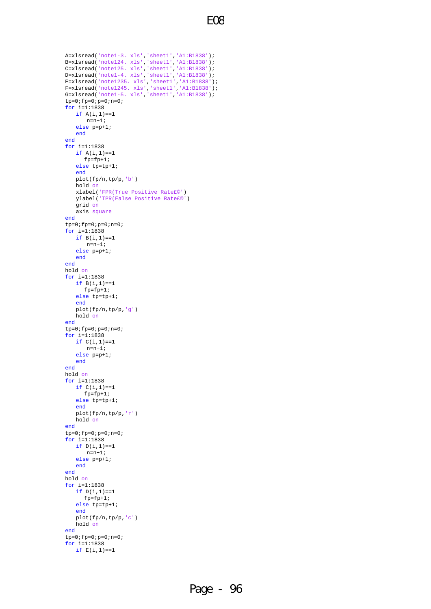```
E08
```

```
A=xlsread('note1-3. xls','sheet1','A1:B1838'); 
B=xlsread('note124. xls','sheet1','A1:B1838'); 
C=xlsread('note125. xls','sheet1','A1:B1838'); 
D=xlsread('note1-4. xls','sheet1','A1:B1838'); 
E=xlsread('note1235. xls','sheet1','A1:B1838'); 
F=xlsread('note1245. xls','sheet1','A1:B1838'); 
G=xlsread('note1-5. xls','sheet1','A1:B1838'); 
tp=0;fp=0;p=0;n=0;for i=1:1838 
   if A(i,1) == 1n=n+1; else p=p+1; 
    end
end
for i=1:1838 
   if A(i,1) == 1 fp=fp+1; 
    else tp=tp+1; 
    end
    plot(fp/n,tp/p,'b') 
    hold on
    xlabel('FPR(True Positive Rate£©') 
    ylabel('TPR(False Positive Rate£©') 
    grid on
    axis square
end
tp=0;fp=0;p=0;n=0;for i=1:1838 
   if B(i,1) == 1n=n+1; else p=p+1; 
    end
end
hold on
for i=1:1838 
   if B(i,1) == 1fp=fp+1; else tp=tp+1; 
    end
    plot(fp/n,tp/p,'g') 
    hold on
end
tp=0;fp=0;p=0;n=0;for i=1:1838 
   if C(i, 1) == 1 n=n+1; 
    else p=p+1; 
    end
end
hold on
for i=1:1838 
   if C(i,1) == 1fp=fp+1; else tp=tp+1; 
    end
    plot(fp/n,tp/p,'r') 
    hold on
end
tp=0;fp=0;p=0;n=0;for i=1:1838 
   if D(i,1) == 1 n=n+1; 
    else p=p+1; 
    end
end
hold on
for i=1:1838 
   if D(i,1) == 1fp = fp + 1; else tp=tp+1; 
    end
    plot(fp/n,tp/p,'c') 
    hold on
end
tp=0;fp=0;p=0;n=0;for i=1:1838 
   if E(i,1) == 1
```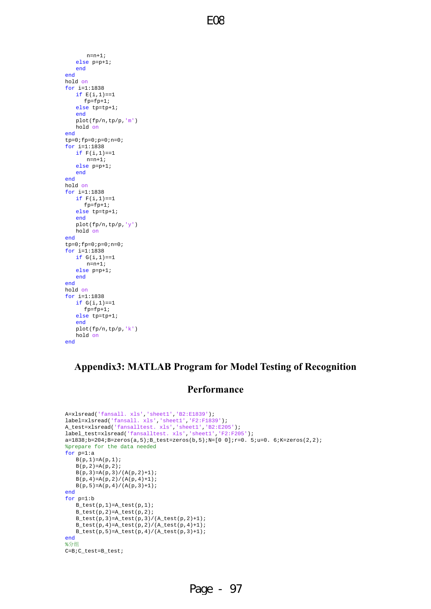$n = n + 1;$  else p=p+1; end end hold on for i=1:1838 if  $E(i,1) == 1$  fp=fp+1; else tp=tp+1; end plot(fp/n,tp/p,'m') hold on end  $tp=0;fp=0;p=0;n=0;$ for i=1:1838 if  $F(i, 1) = 1$  n=n+1; else p=p+1; end end hold on for i=1:1838 if  $F(i,1) == 1$  fp=fp+1; else tp=tp+1; end plot(fp/n,tp/p,'y') hold on end  $tp=0;fp=0;p=0;n=0;$ for i=1:1838 if  $G(i, 1) == 1$  n=n+1; else p=p+1; end end hold on for i=1:1838 if  $G(i,1) == 1$  fp=fp+1; else tp=tp+1; end plot(fp/n,tp/p,'k') hold on end

# **Appendix3: MATLAB Program for Model Testing of Recognition**

# **Performance**

```
A=xlsread('fansall. xls','sheet1','B2:E1839'); 
label=xlsread('fansall. xls','sheet1','F2:F1839'); 
A_test=xlsread('fansalltest. xls','sheet1','B2:E205'); 
label_test=xlsread('fansalltest. xls','sheet1','F2:F205'); 
a=1838; b=204; B=zeros(a,5); B_test=zeros(b,5); N=[0 0]; r=0. 5; u=0. 6; K=zeros(2,2);%prepare for the data needed
for p=1:a 
   B(p,1)=A(p,1);B(p, 2) = A(p, 2);B(p, 3) = A(p, 3) / (A(p, 2) + 1);B(p, 4) = A(p, 2) / (A(p, 4) + 1);B(p,5)=A(p,4)/(A(p,3)+1);end
for p=1:b 
   B_test(p,1)=A_test(p,1);B_test(p,2)=A_test(p,2);
   B_test(p,3)=A_test(p,3)/(A_test(p,2)+1); B_test(p,4)=A_test(p,2)/(A_test(p,4)+1); 
   B_{\text{test}(p,5)} = A_{\text{test}(p,4)} / (A_{\text{test}(p,3)+1)};end
%分组
C=B;C_test=B_test;
```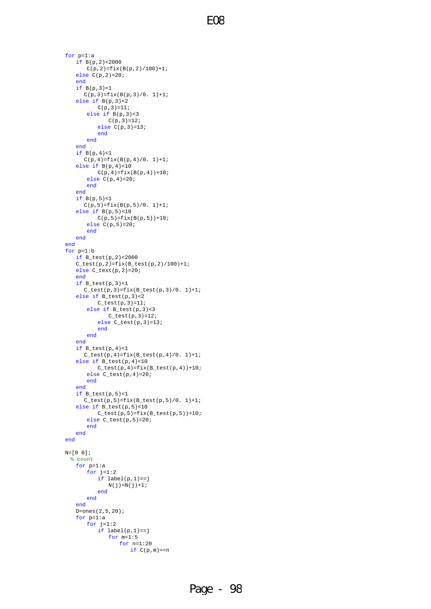```
for p=1:a 
    if B(p,2)<2000 
       C(p, 2) = f i x (B(p, 2) / 100) + 1; else C(p,2)=20; 
     end
    if B(p,3)<1 
      C(p,3)=fix(B(p,3)/0. 1)+1; else if B(p,3)<2 
           C(p, 3) = 11; else if B(p,3)<3 
               C(p, 3) = 12; else C(p,3)=13; 
            end
         end
     end
    if B(p,4)<1 
       C(p, 4) = f i x (B(p, 4) / 0. 1) + 1; else if B(p,4)<10 
           C(p, 4) = fix(B(p, 4)) + 10; else C(p,4)=20; 
        end
     end
     if B(p,5)<1 
      C(p, 5) = fix(B(p, 5)/0. 1) + 1; else if B(p,5)<10 
           C(p, 5) = fix(B(p, 5)) + 10; else C(p,5)=20; 
        end
    end
end
for p=1:b 
    if B_test(p,2)<2000 
    C_{\text{test}(p,2)} = fix(B_{\text{test}(p,2)}/100) + 1; else C_test(p,2)=20; 
     end
     if B_test(p,3)<1 
       C_{\text{test}(p,3)} = fix(B_{\text{test}(p,3)}/0. 1) + 1;else if B_{test}(p,3) < 2 C_test(p,3)=11; 
         else if B_test(p,3)<3 
               C_{\text{test}(p,3)=12}; else C_test(p,3)=13; 
            end
         end
     end
     if B_test(p,4)<1 
       C_{\text{test}(p,4)} = fix(B_{\text{test}(p,4)}/0. 1) + 1; else if B_test(p,4)<10 
           C_test(p,4)=fix(B_test(p,4))+10; else C_test(p,4)=20; 
         end
     end
    if B_test(p,5) < 1C_{\text{test}(p,5)} = fix(B_{\text{test}(p,5)}/0. 1) + 1; else if B_test(p,5)<10 
           C_{\text{test}(p,5)} = fix(B_{\text{test}(p,5)}) + 10; else C_test(p,5)=20; 
        end
    end
end
N=[0 0]; 
  % count
    for p=1:a 
        for j=1:2 
            if label(p,1)==j 
               N(j)=N(j)+1; end
         end
     end
    D=ones(2,5,20); 
     for p=1:a 
        for j=1:2 
             if label(p,1)==j 
                for m=1:5 
                     for n=1:20 
                        if C(p,m) == n
```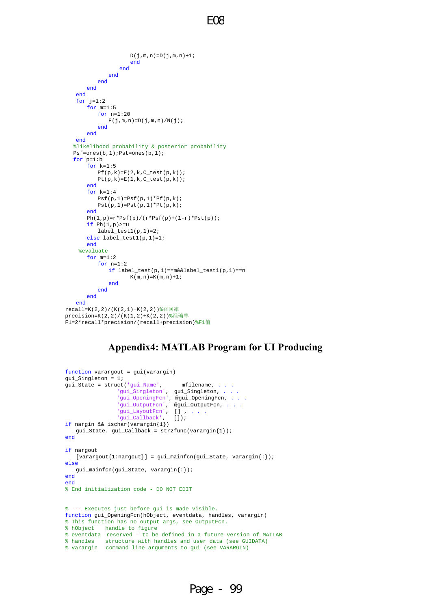```
\texttt{D}(\texttt{j},\texttt{m},\texttt{n})\!=\!\!\texttt{D}(\texttt{j},\texttt{m},\texttt{n})\!+\!1\! ;
                        end
                    end
                end
            end
        end
    end
   for j=1:2 for m=1:5 
           for n=1:20E(j,m,n)=D(j,m,n)/N(j); end
        end
    end
    %likelihood probability & posterior probability
   Psf=ones(b,1);Pst=ones(b,1); 
    for p=1:b 
        for k=1:5 
           Pf(p,k)=E(2,k,C_test(p,k));Pt(p,k)=E(1,k,C_test(p,k)); end
        for k=1:4 
           Psf(p,1)=Psf(p,1)*Pf(p,k);Pst(p,1)=Pst(p,1)*Pt(p,k);
        end
       Ph(1,p)=r*Psf(p)/(r*Psf(p)+(1-r)*Pst(p));if Ph(1,p)=ulabel\_test1(p,1)=2; else label_test1(p,1)=1; 
        end
     %evaluate
        for m=1:2 
            for n=1:2 
                if label_test(p,1)==m&&label_test1(p,1)==n 
                       K(m, n) = K(m, n) + 1; end
            end
        end
    end
recall=K(2,2)/(K(2,1)+K(2,2))%召回率
precision=K(2,2)/(K(1,2)+K(2,2))%准确率
F1=2*recall*precision/(recall+precision)%F1值
```
# **Appendix4: MATLAB Program for UI Producing**

```
function varargout = gui(varargin) 
gui_Singleton = 1; 
gui_State = struct('gui_Name', mfilename, . . . 
                'gui_Singleton', gui_Singleton, . . .
 'gui_OpeningFcn', @gui_OpeningFcn, . . . 
 'gui_OutputFcn', @gui_OutputFcn, . . . 
                'gui_LayoutFcn', [],<br>'gui_Callback', []);
                'gui_Callback',
if nargin && ischar(varargin{1}) 
    gui_State. gui_Callback = str2func(varargin{1}); 
end
if nargout 
   [varargout{1:}nargout}] = gui\_mainfon(gui\_State, varargin{:});
else
    gui_mainfcn(gui_State, varargin{:}); 
end
end
% End initialization code - DO NOT EDIT
% --- Executes just before gui is made visible. 
function gui_OpeningFcn(hObject, eventdata, handles, varargin) 
% This function has no output args, see OutputFcn. 
% hObject handle to figure
% eventdata reserved - to be defined in a future version of MATLAB
% handles structure with handles and user data (see GUIDATA)
% varargin command line arguments to gui (see VARARGIN)
```
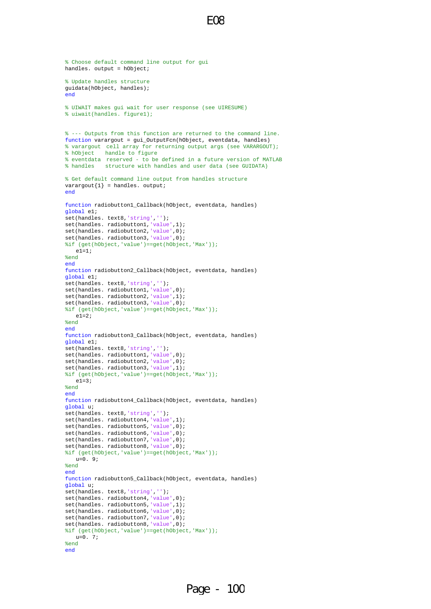```
E08
```

```
% Choose default command line output for gui
handles. output = hObject; 
% Update handles structure
guidata(hObject, handles); 
end
% UIWAIT makes gui wait for user response (see UIRESUME)
% uiwait(handles. figure1);
% --- Outputs from this function are returned to the command line. 
function varargout = gui_OutputFcn(hObject, eventdata, handles) 
% varargout cell array for returning output args (see VARARGOUT);
% hObject handle to figure
% eventdata reserved - to be defined in a future version of MATLAB
% handles structure with handles and user data (see GUIDATA)
% Get default command line output from handles structure
varargout{1} = handles. output;
end
function radiobutton1_Callback(hObject, eventdata, handles) 
global e1; 
set(handles. text8,'string',''); 
set(handles. radiobutton1, 'value', 1);
set(handles. radiobutton2,'value',0); 
set(handles. radiobutton3,'value',0); 
%if (get(hObject,'value')==get(hObject,'Max'));
  e1=1;%end
end
function radiobutton2_Callback(hObject, eventdata, handles) 
global e1; 
set(handles. text8,'string',''); 
set(handles. radiobutton1,'value',0); 
set(handles. radiobutton2,'value',1); 
set(handles. radiobutton3,'value',0); 
%if (get(hObject,'value')==get(hObject,'Max'));
  e1=2;%end
end
function radiobutton3_Callback(hObject, eventdata, handles) 
global e1; 
set(handles. text8,'string',''); 
set(handles. radiobutton1,'value',0); 
set(handles. radiobutton2,'value',0); 
set(handles. radiobutton3, 'value', 1);
%if (get(hObject,'value')==get(hObject,'Max'));
  e1=3;%end
end
function radiobutton4 Callback(hObject, eventdata, handles)
global u; 
set(handles. text8,'string',''); 
set(handles. radiobutton4,'value',1); 
set(handles. radiobutton5,'value',0); 
set(handles. radiobutton6, 'value', 0);
set(handles. radiobutton7,'value',0); 
set(handles. radiobutton8,'value',0); 
%if (get(hObject,'value')==get(hObject,'Max'));
   u=0.9;
%end
end
function radiobutton5_Callback(hObject, eventdata, handles) 
global u; 
set(handles. text8,'string',''); 
set(handles. radiobutton4,'value',0);
set(handles. radiobutton5, 'value',1);
set(handles. radiobutton6,'value',0); 
set(handles. radiobutton7, 'value',0);
set(handles. radiobutton8,'value',0); 
%if (get(hObject,'value')==get(hObject,'Max'));
   u=0.7;
%end
end
```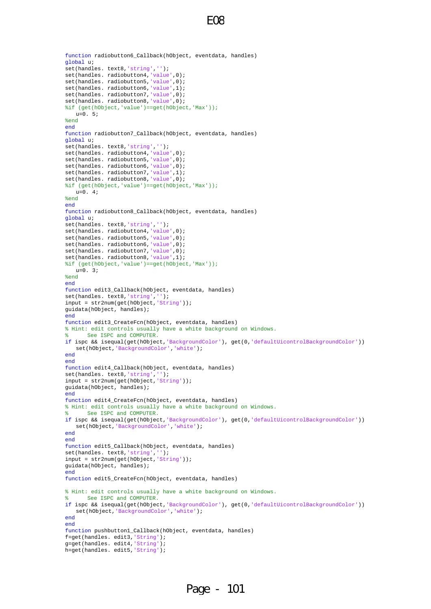```
function radiobutton6_Callback(hObject, eventdata, handles) 
global u; 
set(handles. text8,'string',''); 
set(handles. radiobutton4,'value',0); 
set(handles. radiobutton5,'value',0); 
set(handles. radiobutton6, 'value', 1);
set(handles. radiobutton7,'value',0); 
set(handles. radiobutton8,'value',0); 
%if (get(hObject,'value')==get(hObject,'Max'));
  u=0.5;
%end
end
function radiobutton7_Callback(hObject, eventdata, handles) 
global u; 
set(handles. text8,'string',''); 
set(handles. radiobutton4,'value',0); 
set(handles. radiobutton5,'value',0); 
set(handles. radiobutton6,'value',0); 
set(handles. radiobutton7,'value',1); 
set(handles. radiobutton8,'value',0); 
%if (get(hObject,'value')==get(hObject,'Max'));
   u=0.4;
%end
end
function radiobutton8_Callback(hObject, eventdata, handles) 
global u; 
set(handles. text8,'string',''); 
set(handles. radiobutton4,'value',0); 
set(handles. radiobutton5,'value',0); 
set(handles. radiobutton6,'value',0); 
set(handles. radiobutton7,'value',0); 
set(handles. radiobutton8, 'value', 1);
%if (get(hObject,'value')==get(hObject,'Max'));
  u=0.3;
%end
end
function edit3_Callback(hObject, eventdata, handles) 
set(handles. text8,'string','');
input = str2num(get(hObject,'String')); 
guidata(hObject, handles); 
end
function edit3_CreateFcn(hObject, eventdata, handles) 
% Hint: edit controls usually have a white background on Windows. 
      See ISPC and COMPUTER.
if ispc && isequal(get(hObject,'BackgroundColor'), get(0,'defaultUicontrolBackgroundColor')) 
    set(hObject,'BackgroundColor','white'); 
end
end
function edit4 Callback(hObject, eventdata, handles)
set(handles. text8,'string','');
input = str2num(get(hObject,'String')); 
guidata(hObject, handles); 
end
function edit4 CreateFcn(hObject, eventdata, handles)
% Hint: edit controls usually have a white background on Windows. 
      See ISPC and COMPUTER.
if ispc && isequal(get(hObject,'BackgroundColor'), get(0,'defaultUicontrolBackgroundColor')) 
    set(hObject,'BackgroundColor','white'); 
end
end
function edit5_Callback(hObject, eventdata, handles) 
set(handles. text8,'string',''); 
input = str2num(get(hObject,'String')); 
guidata(hObject, handles); 
end
function edit5_CreateFcn(hObject, eventdata, handles) 
% Hint: edit controls usually have a white background on Windows. 
      See ISPC and COMPUTER.
if ispc && isequal(get(hObject,'BackgroundColor'), get(0,'defaultUicontrolBackgroundColor')) 
    set(hObject,'BackgroundColor','white'); 
end
end
function pushbutton1_Callback(hObject, eventdata, handles) 
f=get(handles. edit3,'String'); 
g=get(handles. edit4,'String'); 
h=get(handles. edit5,'String');
```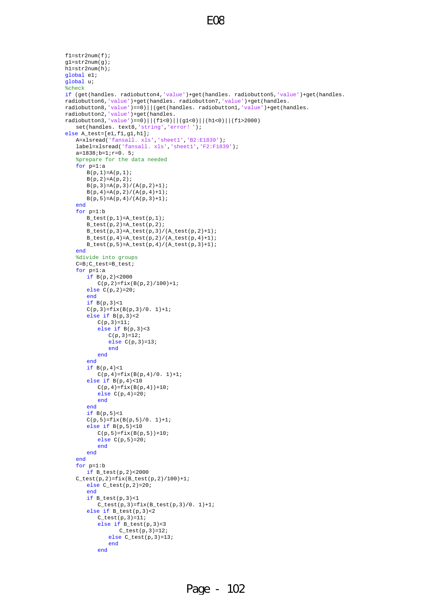```
f1=str2num(f);g1=str2num(g); 
h1=str2num(h); 
global e1; 
global u; 
%check 
if (get(handles. radiobutton4,'value')+get(handles. radiobutton5,'value')+get(handles. 
radiobutton6,'value')+get(handles. radiobutton7,'value')+get(handles. 
radiobutton8,'value')==0)||(get(handles. radiobutton1,'value')+get(handles. 
radiobutton2,'value')+get(handles. 
radiobutton3,'value')==0)||(f1<0)||(g1<0)||(h1<0)||(f1>2000) 
    set(handles. text8,'string','error!');
else A_test=[e1,f1,g1,h1]; 
     A=xlsread('fansall. xls','sheet1','B2:E1839'); 
     label=xlsread('fansall. xls','sheet1','F2:F1839'); 
     a=1838;b=1;r=0. 5; 
     %prepare for the data needed
     for p=1:a 
        B(p,1)=A(p,1);B(p, 2) = A(p, 2);\rm B\,(\,p\,,\,3\,) =A(p, 3) / (A(p, 2)+1);
        \texttt{B}(\texttt{p},\texttt{4})\!=\!\!\texttt{A}(\texttt{p},\texttt{2})\,/\,(\texttt{A}(\texttt{p},\texttt{4})\!+\!\!1) ;
        B(p, 5) = A(p, 4)/(A(p, 3) + 1); end
     for p=1:b 
       B_test(p,1)=A_test(p,1); B_test(p,2)=A_test(p,2); 
        B_test(p,3)=A_test(p,3)/(A_test(p,2)+1);B_test(p,4)=A_test(p,2)/(A_test(p,4)+1); B_test(p,5)=A_test(p,4)/(A_test(p,3)+1); 
     end
     %divide into groups
     C=B;C_test=B_test; 
     for p=1:a 
        if B(p,2)<2000 
           C(p, 2)=fix(B(p, 2)/100)+1; else C(p,2)=20; 
         end
         if B(p,3)<1 
        C(p, 3) = f i x (B(p, 3) / 0. 1) + 1;else if B(p,3) < 2
            C(p, 3) = 11; else if B(p,3)<3 
               C(p, 3) = 12; else C(p,3)=13; 
                 end
             end
         end
         if B(p,4)<1 
            C(p, 4) = f i x (B(p, 4) / 0. 1) + 1; else if B(p,4)<10 
           C(p, 4) = fix(B(p, 4)) + 10; else C(p,4)=20; 
            end
         end
         if B(p,5)<1 
        C(p, 5) = fix(B(p, 5)/0. 1) + 1;else if B(p,5)<10
           C(p, 5) = fix(B(p, 5)) + 10; else C(p,5)=20; 
             end
         end
     end
     for p=1:b 
         if B_test(p,2)<2000 
    C_{\text{test}(p,2)=fix(B_{\text{test}(p,2)}/100)+1;} else C_test(p,2)=20; 
         end
         if B_test(p,3)<1 
            C_{\text{test}(p,3)} = fix(B_{\text{test}(p,3)}/0. 1) + 1; else if B_test(p,3)<2 
           C_{\text{test}(p,3)=11}; else if B_test(p,3)<3 
                    C test(p, 3)=12;
                 else C_test(p,3)=13; 
                 end
             end
```